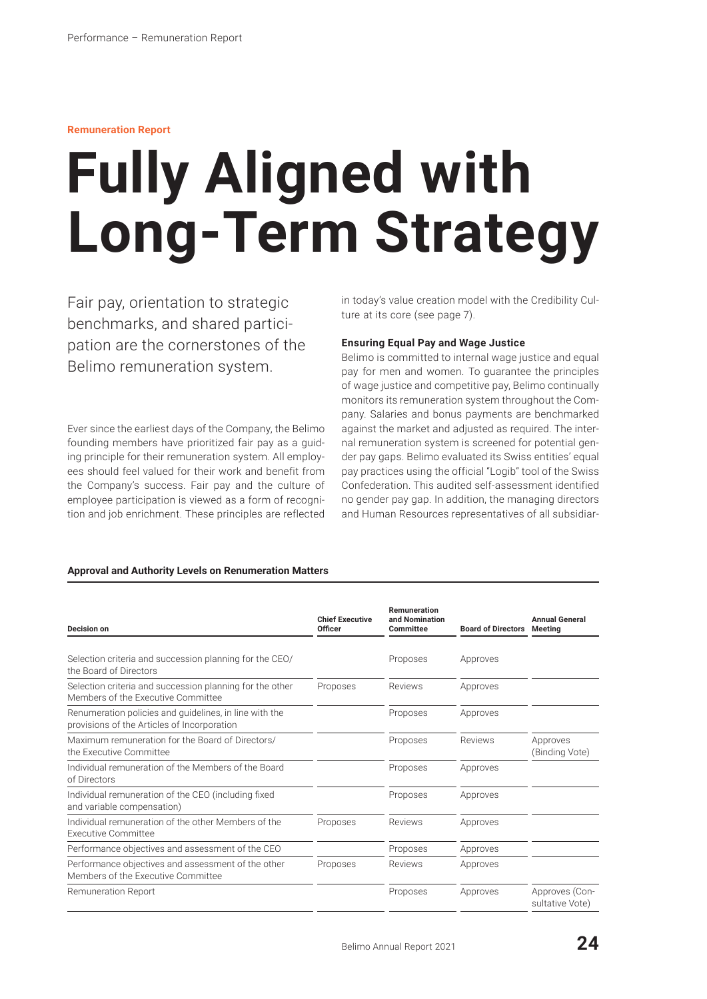#### **Remuneration Report**

# **Fully Aligned with Long-Term Strategy**

Fair pay, orientation to strategic benchmarks, and shared participation are the cornerstones of the Belimo remuneration system.

Ever since the earliest days of the Company, the Belimo founding members have prioritized fair pay as a guiding principle for their remuneration system. All employees should feel valued for their work and benefit from the Company's success. Fair pay and the culture of employee participation is viewed as a form of recognition and job enrichment. These principles are reflected in today's value creation model with the Credibility Culture at its core (see page 7).

# **Ensuring Equal Pay and Wage Justice**

Belimo is committed to internal wage justice and equal pay for men and women. To guarantee the principles of wage justice and competitive pay, Belimo continually monitors its remuneration system throughout the Company. Salaries and bonus payments are benchmarked against the market and adjusted as required. The internal remuneration system is screened for potential gender pay gaps. Belimo evaluated its Swiss entities' equal pay practices using the official "Logib" tool of the Swiss Confederation. This audited self-assessment identified no gender pay gap. In addition, the managing directors and Human Resources representatives of all subsidiar-

#### **Approval and Authority Levels on Renumeration Matters**

| Decision on                                                                                           | <b>Chief Executive</b><br><b>Officer</b> | Remuneration<br>and Nomination<br>Committee | <b>Board of Directors</b> | <b>Annual General</b><br><b>Meeting</b> |
|-------------------------------------------------------------------------------------------------------|------------------------------------------|---------------------------------------------|---------------------------|-----------------------------------------|
| Selection criteria and succession planning for the CEO/<br>the Board of Directors                     |                                          | Proposes                                    | Approves                  |                                         |
| Selection criteria and succession planning for the other<br>Members of the Executive Committee        | Proposes                                 | Reviews                                     | Approves                  |                                         |
| Renumeration policies and quidelines, in line with the<br>provisions of the Articles of Incorporation |                                          | Proposes                                    | Approves                  |                                         |
| Maximum remuneration for the Board of Directors/<br>the Executive Committee                           |                                          | Proposes                                    | Reviews                   | Approves<br>(Binding Vote)              |
| Individual remuneration of the Members of the Board<br>of Directors                                   |                                          | Proposes                                    | Approves                  |                                         |
| Individual remuneration of the CEO (including fixed<br>and variable compensation)                     |                                          | Proposes                                    | Approves                  |                                         |
| Individual remuneration of the other Members of the<br><b>Executive Committee</b>                     | Proposes                                 | Reviews                                     | Approves                  |                                         |
| Performance objectives and assessment of the CEO                                                      |                                          | Proposes                                    | Approves                  |                                         |
| Performance objectives and assessment of the other<br>Members of the Executive Committee              | Proposes                                 | Reviews                                     | Approves                  |                                         |
| Remuneration Report                                                                                   |                                          | Proposes                                    | Approves                  | Approves (Con-<br>sultative Vote)       |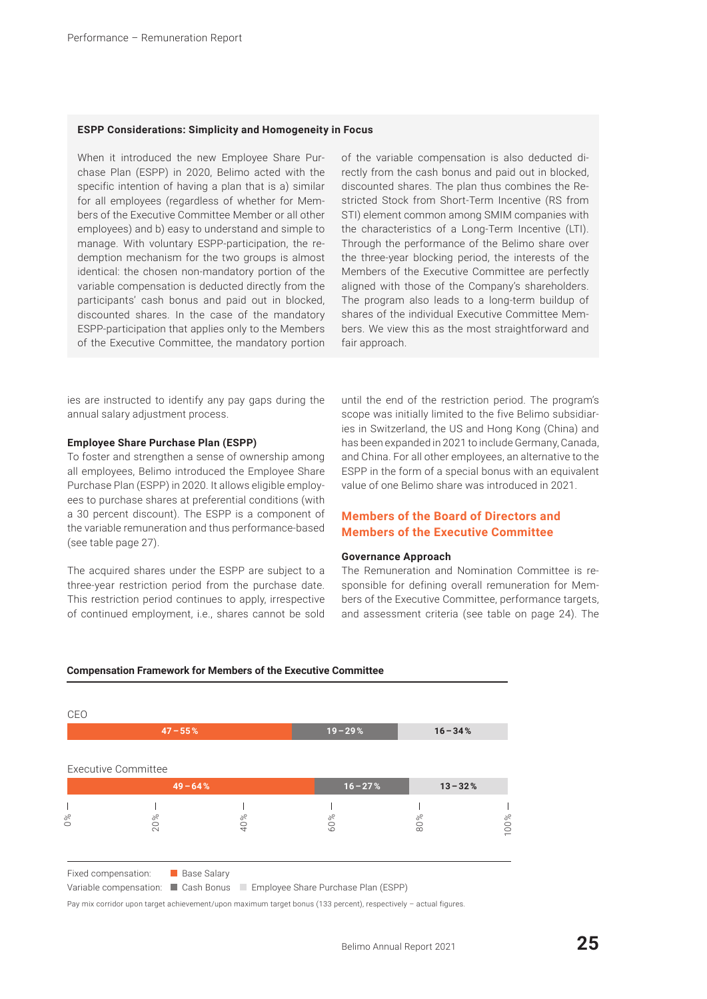#### **ESPP Considerations: Simplicity and Homogeneity in Focus**

When it introduced the new Employee Share Purchase Plan (ESPP) in 2020, Belimo acted with the specific intention of having a plan that is a) similar for all employees (regardless of whether for Members of the Executive Committee Member or all other employees) and b) easy to understand and simple to manage. With voluntary ESPP-participation, the redemption mechanism for the two groups is almost identical: the chosen non-mandatory portion of the variable compensation is deducted directly from the participants' cash bonus and paid out in blocked, discounted shares. In the case of the mandatory ESPP-participation that applies only to the Members of the Executive Committee, the mandatory portion of the variable compensation is also deducted directly from the cash bonus and paid out in blocked, discounted shares. The plan thus combines the Restricted Stock from Short-Term Incentive (RS from STI) element common among SMIM companies with the characteristics of a Long-Term Incentive (LTI). Through the performance of the Belimo share over the three-year blocking period, the interests of the Members of the Executive Committee are perfectly aligned with those of the Company's shareholders. The program also leads to a long-term buildup of shares of the individual Executive Committee Members. We view this as the most straightforward and fair approach.

ies are instructed to identify any pay gaps during the annual salary adjustment process.

#### **Employee Share Purchase Plan (ESPP)**

To foster and strengthen a sense of ownership among all employees, Belimo introduced the Employee Share Purchase Plan (ESPP) in 2020. It allows eligible employees to purchase shares at preferential conditions (with a 30 percent discount). The ESPP is a component of the variable remuneration and thus performance-based (see table page 27).

The acquired shares under the ESPP are subject to a three-year restriction period from the purchase date. This restriction period continues to apply, irrespective of continued employment, i.e., shares cannot be sold until the end of the restriction period. The program's scope was initially limited to the five Belimo subsidiaries in Switzerland, the US and Hong Kong (China) and has been expanded in 2021 to include Germany, Canada, and China. For all other employees, an alternative to the ESPP in the form of a special bonus with an equivalent value of one Belimo share was introduced in 2021.

# **Members of the Board of Directors and Members of the Executive Committee**

#### **Governance Approach**

The Remuneration and Nomination Committee is responsible for defining overall remuneration for Members of the Executive Committee, performance targets, and assessment criteria (see table on page 24). The

| <b>Executive Committee</b><br>$16 - 27%$<br>$13 - 32%$<br>$49 - 64%$<br>40%<br>60%<br>80%<br>20% |          | $47 - 55%$ | $19 - 29%$ | $16 - 34%$ |      |
|--------------------------------------------------------------------------------------------------|----------|------------|------------|------------|------|
|                                                                                                  |          |            |            |            |      |
|                                                                                                  |          |            |            |            |      |
|                                                                                                  | o<br>O % |            |            |            | 100% |

#### **Compensation Framework for Members of the Executive Committee**

Variable compensation: Cash Bonus Comployee Share Purchase Plan (ESPP)

Pay mix corridor upon target achievement/upon maximum target bonus (133 percent), respectively - actual figures.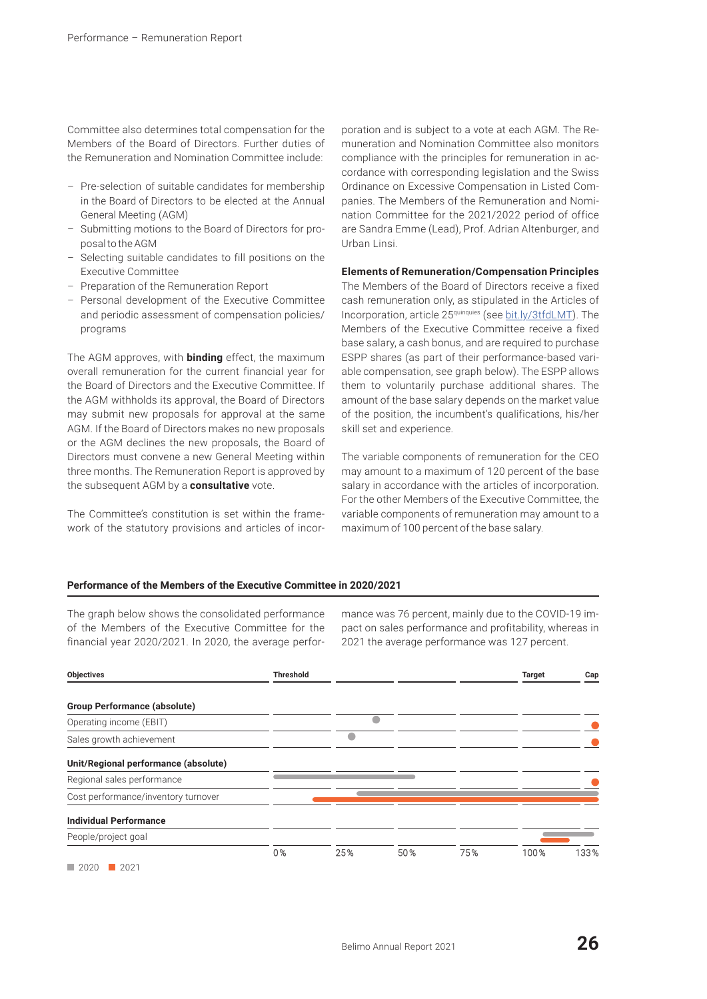Committee also determines total compensation for the Members of the Board of Directors. Further duties of the Remuneration and Nomination Committee include:

- Pre-selection of suitable candidates for membership in the Board of Directors to be elected at the Annual General Meeting (AGM)
- Submitting motions to the Board of Directors for proposal to the AGM
- Selecting suitable candidates to fill positions on the Executive Committee
- Preparation of the Remuneration Report
- Personal development of the Executive Committee and periodic assessment of compensation policies/ programs

The AGM approves, with **binding** effect, the maximum overall remuneration for the current financial year for the Board of Directors and the Executive Committee. If the AGM withholds its approval, the Board of Directors may submit new proposals for approval at the same AGM. If the Board of Directors makes no new proposals or the AGM declines the new proposals, the Board of Directors must convene a new General Meeting within three months. The Remuneration Report is approved by the subsequent AGM by a **consultative** vote.

The Committee's constitution is set within the framework of the statutory provisions and articles of incor-

poration and is subject to a vote at each AGM. The Remuneration and Nomination Committee also monitors compliance with the principles for remuneration in accordance with corresponding legislation and the Swiss Ordinance on Excessive Compensation in Listed Companies. The Members of the Remuneration and Nomination Committee for the 2021/2022 period of office are Sandra Emme (Lead), Prof. Adrian Altenburger, and Urban Linsi.

## **Elements of Remuneration/Compensation Principles**

The Members of the Board of Directors receive a fixed cash remuneration only, as stipulated in the Articles of Incorporation, article 25quinquies (see [bit.ly/3tfdLMT\).](https://www.belimo.com/mam/corporate-communications/corporate-governance/articles_en.pdf) The Members of the Executive Committee receive a fixed base salary, a cash bonus, and are required to purchase ESPP shares (as part of their performance-based variable compensation, see graph below). The ESPP allows them to voluntarily purchase additional shares. The amount of the base salary depends on the market value of the position, the incumbent's qualifications, his/her skill set and experience.

The variable components of remuneration for the CEO may amount to a maximum of 120 percent of the base salary in accordance with the articles of incorporation. For the other Members of the Executive Committee, the variable components of remuneration may amount to a maximum of 100 percent of the base salary.

#### **Performance of the Members of the Executive Committee in 2020/2021**

The graph below shows the consolidated performance of the Members of the Executive Committee for the financial year 2020/2021. In 2020, the average performance was 76 percent, mainly due to the COVID-19 impact on sales performance and profitability, whereas in 2021 the average performance was 127 percent.

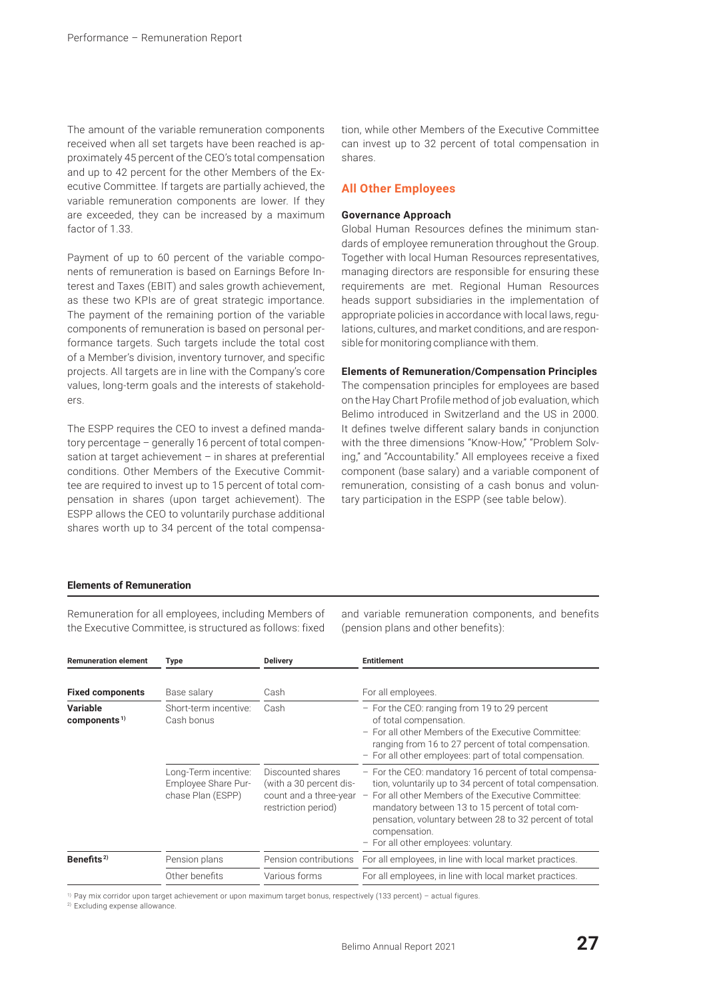The amount of the variable remuneration components received when all set targets have been reached is approximately 45 percent of the CEO's total compensation and up to 42 percent for the other Members of the Executive Committee. If targets are partially achieved, the variable remuneration components are lower. If they are exceeded, they can be increased by a maximum factor of 1.33.

Payment of up to 60 percent of the variable components of remuneration is based on Earnings Before Interest and Taxes (EBIT) and sales growth achievement, as these two KPIs are of great strategic importance. The payment of the remaining portion of the variable components of remuneration is based on personal performance targets. Such targets include the total cost of a Member's division, inventory turnover, and specific projects. All targets are in line with the Company's core values, long-term goals and the interests of stakeholders.

The ESPP requires the CEO to invest a defined mandatory percentage – generally 16 percent of total compensation at target achievement – in shares at preferential conditions. Other Members of the Executive Committee are required to invest up to 15 percent of total compensation in shares (upon target achievement). The ESPP allows the CEO to voluntarily purchase additional shares worth up to 34 percent of the total compensa-

tion, while other Members of the Executive Committee can invest up to 32 percent of total compensation in shares.

# **All Other Employees**

#### **Governance Approach**

Global Human Resources defines the minimum standards of employee remuneration throughout the Group. Together with local Human Resources representatives, managing directors are responsible for ensuring these requirements are met. Regional Human Resources heads support subsidiaries in the implementation of appropriate policies in accordance with local laws, regulations, cultures, and market conditions, and are responsible for monitoring compliance with them.

#### **Elements of Remuneration/Compensation Principles**

The compensation principles for employees are based on the Hay Chart Profile method of job evaluation, which Belimo introduced in Switzerland and the US in 2000. It defines twelve different salary bands in conjunction with the three dimensions "Know-How," "Problem Solving," and "Accountability." All employees receive a fixed component (base salary) and a variable component of remuneration, consisting of a cash bonus and voluntary participation in the ESPP (see table below).

## **Elements of Remuneration**

Remuneration for all employees, including Members of the Executive Committee, is structured as follows: fixed and variable remuneration components, and benefits (pension plans and other benefits):

| Type                                                             | <b>Delivery</b>                                                     | <b>Entitlement</b>                                                                                                                                                                                                                                                                                                                                                        |  |  |
|------------------------------------------------------------------|---------------------------------------------------------------------|---------------------------------------------------------------------------------------------------------------------------------------------------------------------------------------------------------------------------------------------------------------------------------------------------------------------------------------------------------------------------|--|--|
| Base salary                                                      | Cash                                                                | For all employees.                                                                                                                                                                                                                                                                                                                                                        |  |  |
| Short-term incentive:<br>Cash bonus                              | Cash                                                                | - For the CEO: ranging from 19 to 29 percent<br>of total compensation.<br>- For all other Members of the Executive Committee:<br>ranging from 16 to 27 percent of total compensation.<br>- For all other employees: part of total compensation.                                                                                                                           |  |  |
| Long-Term incentive:<br>Employee Share Pur-<br>chase Plan (ESPP) | Discounted shares<br>(with a 30 percent dis-<br>restriction period) | - For the CEO: mandatory 16 percent of total compensa-<br>tion, voluntarily up to 34 percent of total compensation.<br>count and a three-year - For all other Members of the Executive Committee:<br>mandatory between 13 to 15 percent of total com-<br>pensation, voluntary between 28 to 32 percent of total<br>compensation.<br>- For all other employees: voluntary. |  |  |
| Pension plans                                                    | Pension contributions                                               | For all employees, in line with local market practices.                                                                                                                                                                                                                                                                                                                   |  |  |
| Other benefits                                                   | Various forms                                                       | For all employees, in line with local market practices.                                                                                                                                                                                                                                                                                                                   |  |  |
|                                                                  |                                                                     |                                                                                                                                                                                                                                                                                                                                                                           |  |  |

1) Pay mix corridor upon target achievement or upon maximum target bonus, respectively (133 percent) – actual figures.

2) Excluding expense allowance.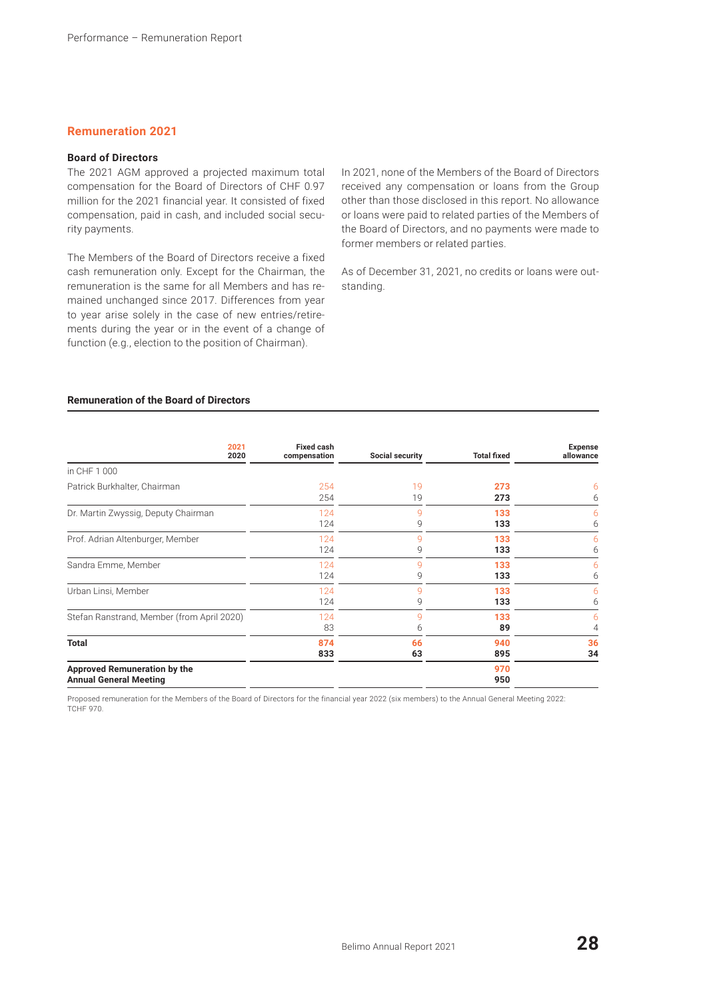# **Remuneration 2021**

# **Board of Directors**

The 2021 AGM approved a projected maximum total compensation for the Board of Directors of CHF 0.97 million for the 2021 financial year. It consisted of fixed compensation, paid in cash, and included social security payments.

The Members of the Board of Directors receive a fixed cash remuneration only. Except for the Chairman, the remuneration is the same for all Members and has remained unchanged since 2017. Differences from year to year arise solely in the case of new entries/retirements during the year or in the event of a change of function (e.g., election to the position of Chairman).

In 2021, none of the Members of the Board of Directors received any compensation or loans from the Group other than those disclosed in this report. No allowance or loans were paid to related parties of the Members of the Board of Directors, and no payments were made to former members or related parties.

As of December 31, 2021, no credits or loans were outstanding.

# **Remuneration of the Board of Directors**

| 2021<br>2020                                                  | <b>Fixed cash</b><br>compensation | Social security | <b>Total fixed</b> | <b>Expense</b><br>allowance |
|---------------------------------------------------------------|-----------------------------------|-----------------|--------------------|-----------------------------|
| in CHF 1 000                                                  |                                   |                 |                    |                             |
| Patrick Burkhalter, Chairman                                  | 254                               | 19              | 273                | 6                           |
|                                                               | 254                               | 19              | 273                | 6                           |
| Dr. Martin Zwyssig, Deputy Chairman                           | 124                               | q               | 133                | 6                           |
|                                                               | 124                               | 9               | 133                | 6                           |
| Prof. Adrian Altenburger, Member                              | 124                               | 9               | 133                | 6                           |
|                                                               | 124                               | 9               | 133                | 6                           |
| Sandra Emme, Member                                           | 124                               | g               | 133                | 6                           |
|                                                               | 124                               | 9               | 133                | 6                           |
| Urban Linsi, Member                                           | 124                               | g               | 133                | 6                           |
|                                                               | 124                               | 9               | 133                | 6                           |
| Stefan Ranstrand, Member (from April 2020)                    | 124                               | g               | 133                | 6                           |
|                                                               | 83                                | 6               | 89                 | 4                           |
| <b>Total</b>                                                  | 874                               | 66              | 940                | 36                          |
|                                                               | 833                               | 63              | 895                | 34                          |
| Approved Remuneration by the<br><b>Annual General Meeting</b> |                                   |                 | 970<br>950         |                             |

Proposed remuneration for the Members of the Board of Directors for the financial year 2022 (six members) to the Annual General Meeting 2022: **TCHF 970.**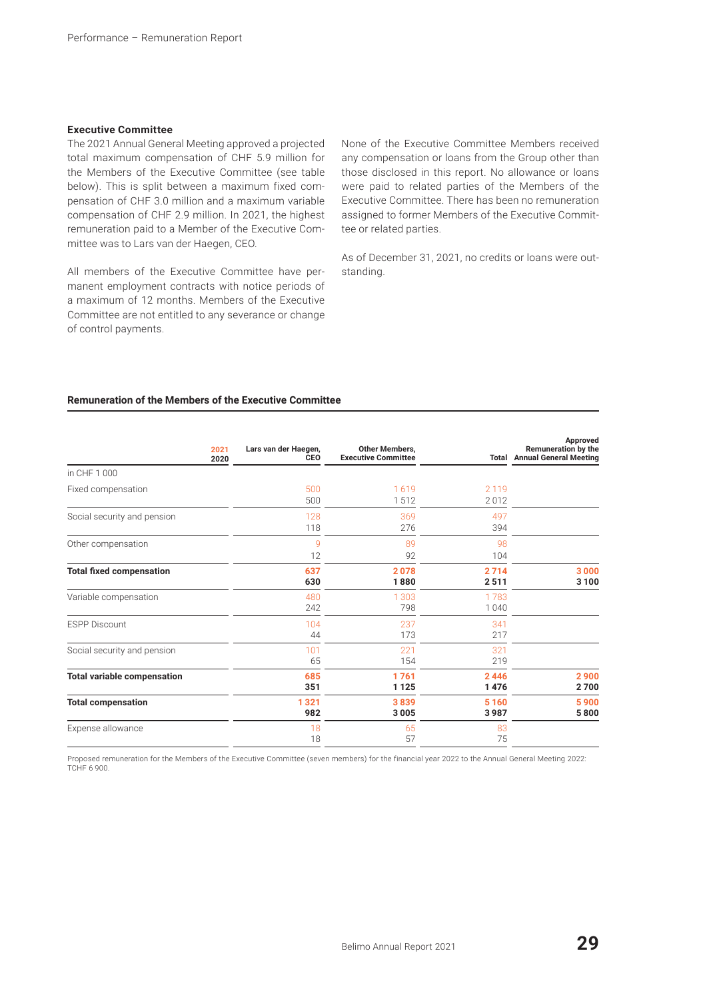#### **Executive Committee**

The 2021 Annual General Meeting approved a projected total maximum compensation of CHF 5.9 million for the Members of the Executive Committee (see table below). This is split between a maximum fixed compensation of CHF 3.0 million and a maximum variable compensation of CHF 2.9 million. In 2021, the highest remuneration paid to a Member of the Executive Committee was to Lars van der Haegen, CEO.

All members of the Executive Committee have permanent employment contracts with notice periods of a maximum of 12 months. Members of the Executive Committee are not entitled to any severance or change of control payments.

None of the Executive Committee Members received any compensation or loans from the Group other than those disclosed in this report. No allowance or loans were paid to related parties of the Members of the Executive Committee. There has been no remuneration assigned to former Members of the Executive Committee or related parties.

As of December 31, 2021, no credits or loans were outstanding.

# **Remuneration of the Members of the Executive Committee**

| 2021<br>2020                       | Lars van der Haegen,<br>CEO | <b>Other Members,</b><br><b>Executive Committee</b> |                 | Approved<br><b>Remuneration by the</b><br><b>Total Annual General Meeting</b> |
|------------------------------------|-----------------------------|-----------------------------------------------------|-----------------|-------------------------------------------------------------------------------|
| in CHF 1 000                       |                             |                                                     |                 |                                                                               |
| Fixed compensation                 | 500<br>500                  | 1619<br>1512                                        | 2 1 1 9<br>2012 |                                                                               |
| Social security and pension        | 128<br>118                  | 369<br>276                                          | 497<br>394      |                                                                               |
| Other compensation                 | 9<br>12                     | 89<br>92                                            | 98<br>104       |                                                                               |
| <b>Total fixed compensation</b>    | 637<br>630                  | 2078<br>1880                                        | 2714<br>2511    | 3000<br>3 1 0 0                                                               |
| Variable compensation              | 480<br>242                  | 1 3 0 3<br>798                                      | 1783<br>1040    |                                                                               |
| <b>ESPP Discount</b>               | 104<br>44                   | 237<br>173                                          | 341<br>217      |                                                                               |
| Social security and pension        | 101<br>65                   | 221<br>154                                          | 321<br>219      |                                                                               |
| <b>Total variable compensation</b> | 685<br>351                  | 1761<br>1125                                        | 2446<br>1476    | 2900<br>2700                                                                  |
| <b>Total compensation</b>          | 1321<br>982                 | 3839<br>3005                                        | 5160<br>3987    | 5900<br>5800                                                                  |
| Expense allowance                  | 18<br>18                    | 65<br>57                                            | 83<br>75        |                                                                               |

Proposed remuneration for the Members of the Executive Committee (seven members) for the financial year 2022 to the Annual General Meeting 2022: TCHF 6 900.